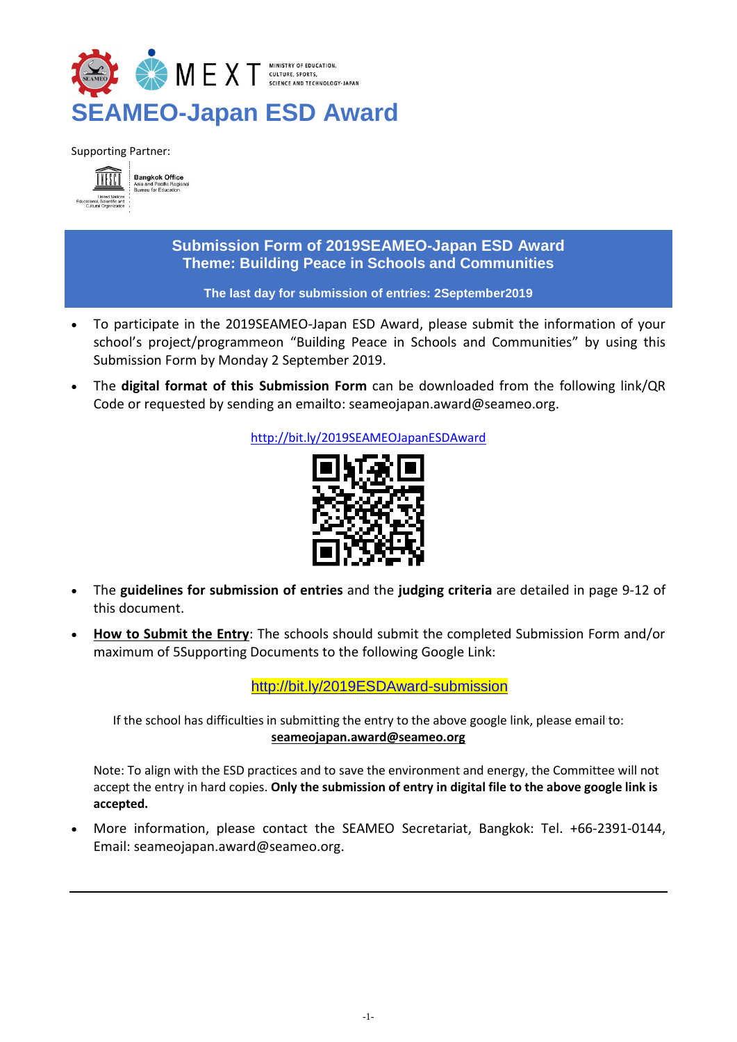

Supporting Partner:



**Submission Form of 2019SEAMEO-Japan ESD Award Theme: Building Peace in Schools and Communities** 

#### **The last day for submission of entries: 2September2019**

- To participate in the 2019SEAMEO-Japan ESD Award, please submit the information of your school's project/programmeon "Building Peace in Schools and Communities" by using this Submission Form by Monday 2 September 2019.
- The **digital format of this Submission Form** can be downloaded from the following link/QR Code or requested by sending an emailto: [seameojapan.award@seameo.org.](mailto:seameojapan.award@seameo.org)

<http://bit.ly/2019SEAMEOJapanESDAward>



- The **guidelines for submission of entries** and the **judging criteria** are detailed in page 9-12 of this document.
- **How to Submit the Entry**: The schools should submit the completed Submission Form and/or maximum of 5Supporting Documents to the following Google Link:

<http://bit.ly/2019ESDAward-submission>

If the school has difficulties in submitting the entry to the above google link, please email to: **[seameojapan.award@seameo.org](mailto:seameojapan.award@seameo.org)**

Note: To align with the ESD practices and to save the environment and energy, the Committee will not accept the entry in hard copies. **Only the submission of entry in digital file to the above google link is accepted.**

 More information, please contact the SEAMEO Secretariat, Bangkok: Tel. +66-2391-0144, Email: [seameojapan.award@seameo.org.](mailto:seameojapan.award@seameo.org)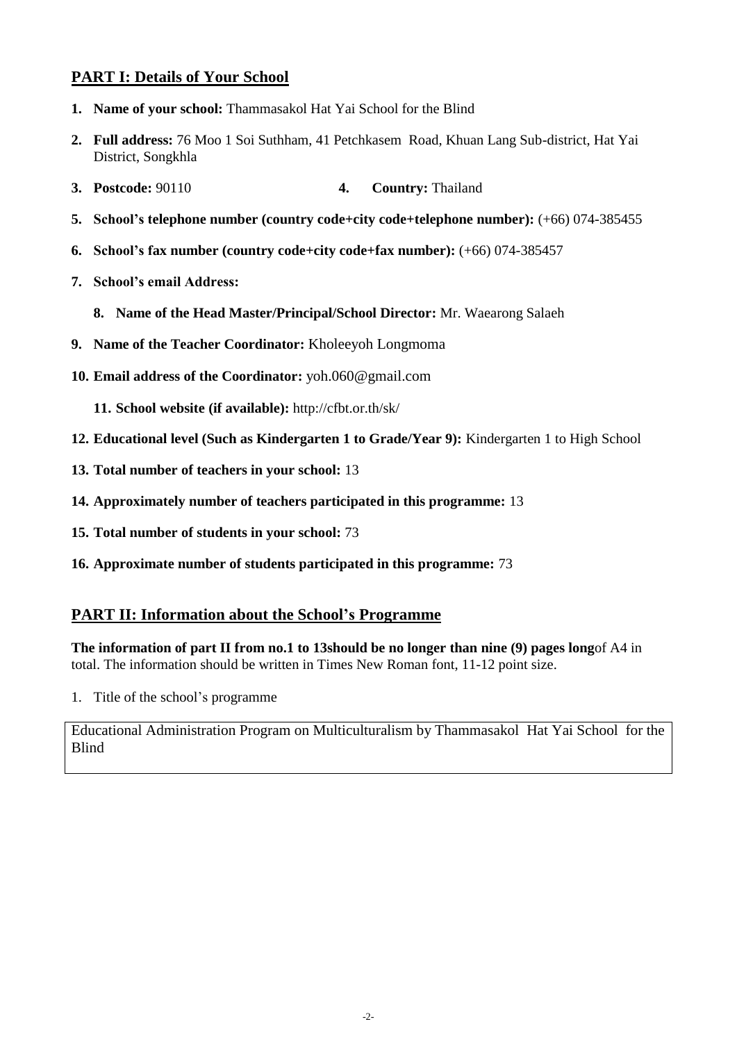# **PART I: Details of Your School**

- **1. Name of your school:** Thammasakol Hat Yai School for the Blind
- **2. Full address:** 76 Moo 1 Soi Suthham, 41 Petchkasem Road, Khuan Lang Sub-district, Hat Yai District, Songkhla
- **3. Postcode:** 90110 **4. Country:** Thailand
- **5. School's telephone number (country code+city code+telephone number):** (+66) 074-385455
- **6. School's fax number (country code+city code+fax number):** (+66) 074-385457
- **7. School's email Address:** 
	- **8. Name of the Head Master/Principal/School Director:** Mr. Waearong Salaeh
- **9. Name of the Teacher Coordinator:** Kholeeyoh Longmoma
- **10. Email address of the Coordinator:** yoh.060@gmail.com
	- **11. School website (if available):** http://cfbt.or.th/sk/
- **12. Educational level (Such as Kindergarten 1 to Grade/Year 9):** Kindergarten 1 to High School
- **13. Total number of teachers in your school:** 13
- **14. Approximately number of teachers participated in this programme:** 13
- **15. Total number of students in your school:** 73
- **16. Approximate number of students participated in this programme:** 73

## **PART II: Information about the School's Programme**

**The information of part II from no.1 to 13should be no longer than nine (9) pages long**of A4 in total. The information should be written in Times New Roman font, 11-12 point size.

1. Title of the school's programme

Educational Administration Program on Multiculturalism by Thammasakol Hat Yai School for the Blind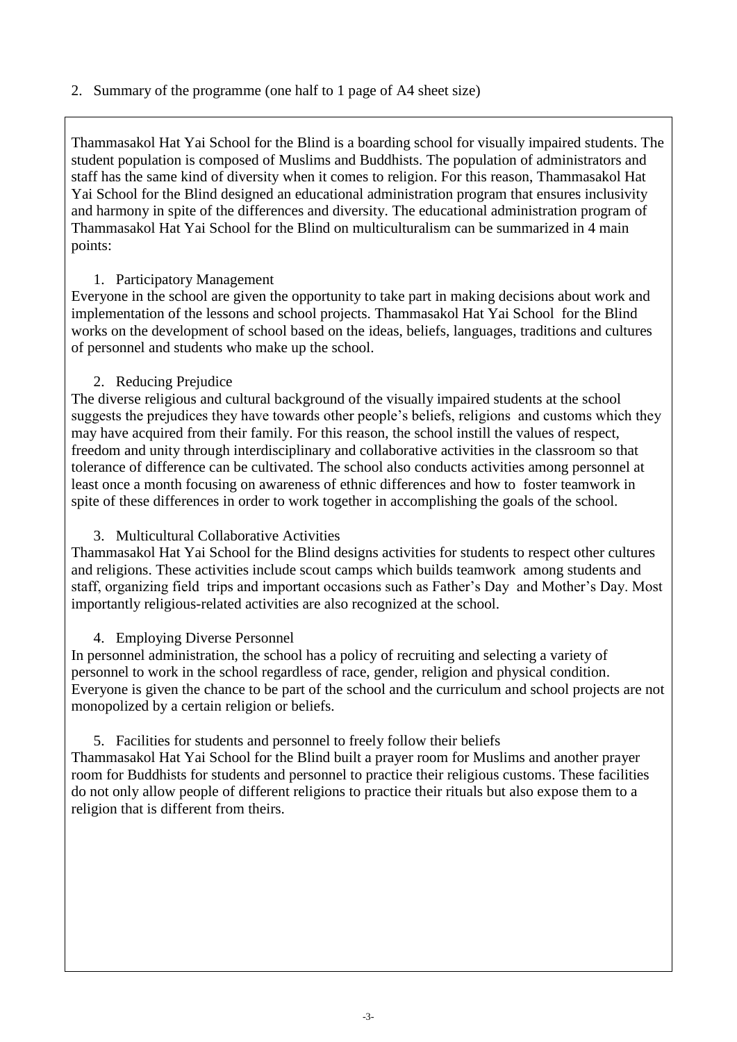2. Summary of the programme (one half to 1 page of A4 sheet size)

Thammasakol Hat Yai School for the Blind is a boarding school for visually impaired students. The student population is composed of Muslims and Buddhists. The population of administrators and staff has the same kind of diversity when it comes to religion. For this reason, Thammasakol Hat Yai School for the Blind designed an educational administration program that ensures inclusivity and harmony in spite of the differences and diversity. The educational administration program of Thammasakol Hat Yai School for the Blind on multiculturalism can be summarized in 4 main points:

#### 1. Participatory Management

Everyone in the school are given the opportunity to take part in making decisions about work and implementation of the lessons and school projects. Thammasakol Hat Yai School for the Blind works on the development of school based on the ideas, beliefs, languages, traditions and cultures of personnel and students who make up the school.

## 2. Reducing Prejudice

The diverse religious and cultural background of the visually impaired students at the school suggests the prejudices they have towards other people's beliefs, religions and customs which they may have acquired from their family. For this reason, the school instill the values of respect, freedom and unity through interdisciplinary and collaborative activities in the classroom so that tolerance of difference can be cultivated. The school also conducts activities among personnel at least once a month focusing on awareness of ethnic differences and how to foster teamwork in spite of these differences in order to work together in accomplishing the goals of the school.

## 3. Multicultural Collaborative Activities

Thammasakol Hat Yai School for the Blind designs activities for students to respect other cultures and religions. These activities include scout camps which builds teamwork among students and staff, organizing field trips and important occasions such as Father's Day and Mother's Day. Most importantly religious-related activities are also recognized at the school.

## 4. Employing Diverse Personnel

In personnel administration, the school has a policy of recruiting and selecting a variety of personnel to work in the school regardless of race, gender, religion and physical condition. Everyone is given the chance to be part of the school and the curriculum and school projects are not monopolized by a certain religion or beliefs.

## 5. Facilities for students and personnel to freely follow their beliefs

Thammasakol Hat Yai School for the Blind built a prayer room for Muslims and another prayer room for Buddhists for students and personnel to practice their religious customs. These facilities do not only allow people of different religions to practice their rituals but also expose them to a religion that is different from theirs.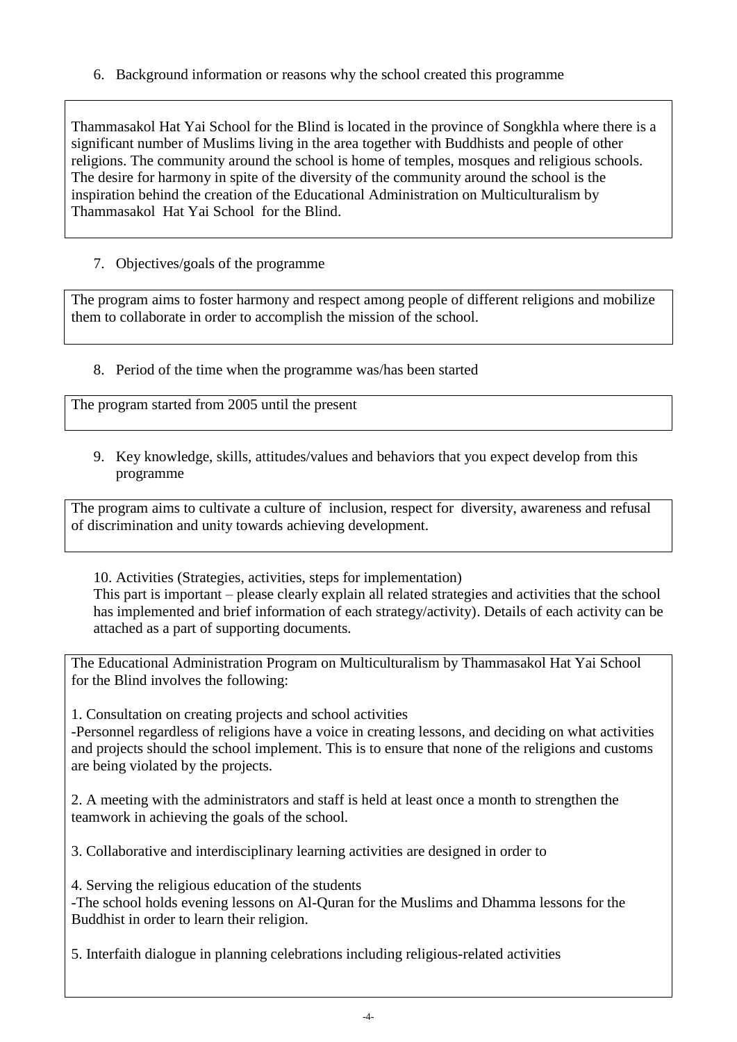6. Background information or reasons why the school created this programme

Thammasakol Hat Yai School for the Blind is located in the province of Songkhla where there is a significant number of Muslims living in the area together with Buddhists and people of other religions. The community around the school is home of temples, mosques and religious schools. The desire for harmony in spite of the diversity of the community around the school is the inspiration behind the creation of the Educational Administration on Multiculturalism by Thammasakol Hat Yai School for the Blind.

## 7. Objectives/goals of the programme

The program aims to foster harmony and respect among people of different religions and mobilize them to collaborate in order to accomplish the mission of the school.

8. Period of the time when the programme was/has been started

The program started from 2005 until the present

9. Key knowledge, skills, attitudes/values and behaviors that you expect develop from this programme

The program aims to cultivate a culture of inclusion, respect for diversity, awareness and refusal of discrimination and unity towards achieving development.

10. Activities (Strategies, activities, steps for implementation) This part is important – please clearly explain all related strategies and activities that the school has implemented and brief information of each strategy/activity). Details of each activity can be attached as a part of supporting documents.

The Educational Administration Program on Multiculturalism by Thammasakol Hat Yai School for the Blind involves the following:

1. Consultation on creating projects and school activities

-Personnel regardless of religions have a voice in creating lessons, and deciding on what activities and projects should the school implement. This is to ensure that none of the religions and customs are being violated by the projects.

2. A meeting with the administrators and staff is held at least once a month to strengthen the teamwork in achieving the goals of the school.

3. Collaborative and interdisciplinary learning activities are designed in order to

4. Serving the religious education of the students

-The school holds evening lessons on Al-Quran for the Muslims and Dhamma lessons for the Buddhist in order to learn their religion.

5. Interfaith dialogue in planning celebrations including religious-related activities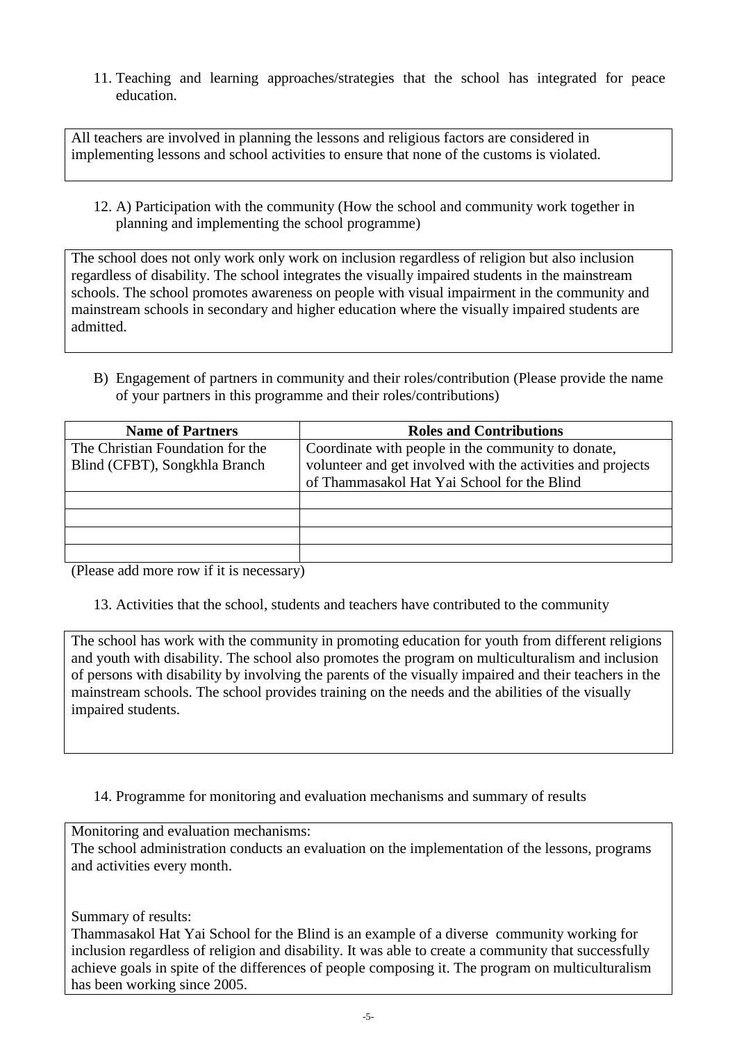11. Teaching and learning approaches/strategies that the school has integrated for peace education.

All teachers are involved in planning the lessons and religious factors are considered in implementing lessons and school activities to ensure that none of the customs is violated.

12. A) Participation with the community (How the school and community work together in planning and implementing the school programme)

The school does not only work only work on inclusion regardless of religion but also inclusion regardless of disability. The school integrates the visually impaired students in the mainstream schools. The school promotes awareness on people with visual impairment in the community and mainstream schools in secondary and higher education where the visually impaired students are admitted.

B) Engagement of partners in community and their roles/contribution (Please provide the name of your partners in this programme and their roles/contributions)

| <b>Name of Partners</b>          | <b>Roles and Contributions</b>                              |
|----------------------------------|-------------------------------------------------------------|
| The Christian Foundation for the | Coordinate with people in the community to donate,          |
| Blind (CFBT), Songkhla Branch    | volunteer and get involved with the activities and projects |
|                                  | of Thammasakol Hat Yai School for the Blind                 |
|                                  |                                                             |
|                                  |                                                             |
|                                  |                                                             |
|                                  |                                                             |

(Please add more row if it is necessary)

13. Activities that the school, students and teachers have contributed to the community

The school has work with the community in promoting education for youth from different religions and youth with disability. The school also promotes the program on multiculturalism and inclusion of persons with disability by involving the parents of the visually impaired and their teachers in the mainstream schools. The school provides training on the needs and the abilities of the visually impaired students.

14. Programme for monitoring and evaluation mechanisms and summary of results

Monitoring and evaluation mechanisms:

The school administration conducts an evaluation on the implementation of the lessons, programs and activities every month.

Summary of results:

Thammasakol Hat Yai School for the Blind is an example of a diverse community working for inclusion regardless of religion and disability. It was able to create a community that successfully achieve goals in spite of the differences of people composing it. The program on multiculturalism has been working since 2005.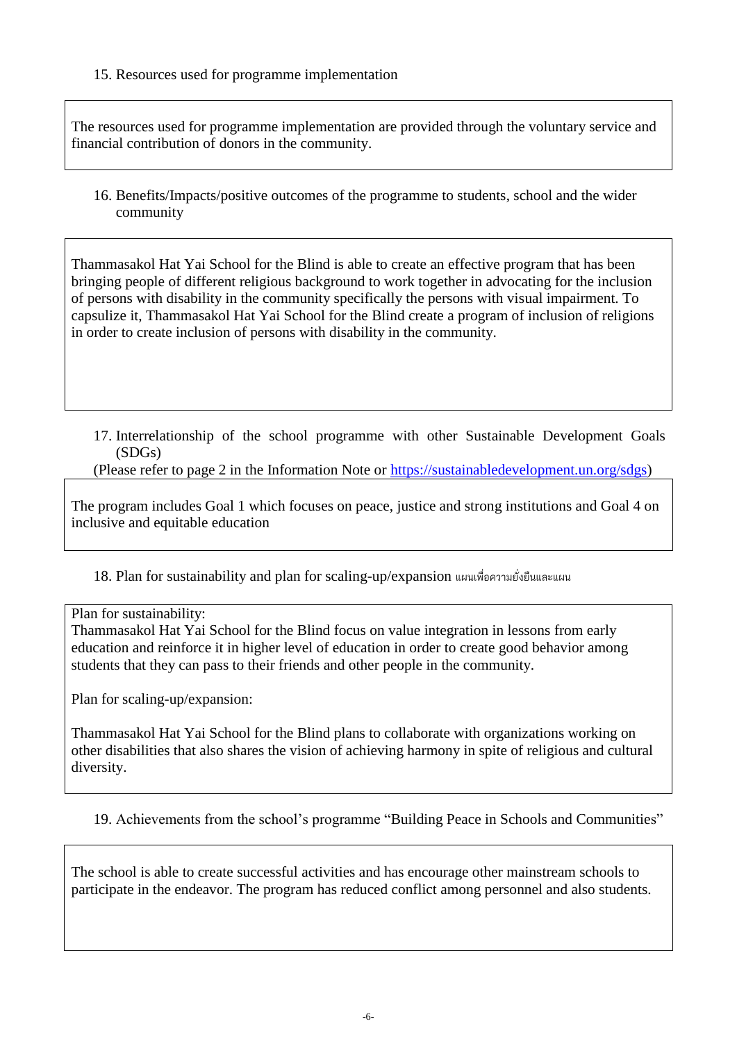15. Resources used for programme implementation

The resources used for programme implementation are provided through the voluntary service and financial contribution of donors in the community.

16. Benefits/Impacts/positive outcomes of the programme to students, school and the wider community

Thammasakol Hat Yai School for the Blind is able to create an effective program that has been bringing people of different religious background to work together in advocating for the inclusion of persons with disability in the community specifically the persons with visual impairment. To capsulize it, Thammasakol Hat Yai School for the Blind create a program of inclusion of religions in order to create inclusion of persons with disability in the community.

17. Interrelationship of the school programme with other Sustainable Development Goals (SDGs)

(Please refer to page 2 in the Information Note or [https://sustainabledevelopment.un.org/sdgs\)](https://sustainabledevelopment.un.org/sdgs)

The program includes Goal 1 which focuses on peace, justice and strong institutions and Goal 4 on inclusive and equitable education

18. Plan for sustainability and plan for scaling-up/expansion แผนเพื่อความยั่งยืนและแผน

Plan for sustainability:

Thammasakol Hat Yai School for the Blind focus on value integration in lessons from early education and reinforce it in higher level of education in order to create good behavior among students that they can pass to their friends and other people in the community.

Plan for scaling-up/expansion:

Thammasakol Hat Yai School for the Blind plans to collaborate with organizations working on other disabilities that also shares the vision of achieving harmony in spite of religious and cultural diversity.

19. Achievements from the school's programme "Building Peace in Schools and Communities"

The school is able to create successful activities and has encourage other mainstream schools to participate in the endeavor. The program has reduced conflict among personnel and also students.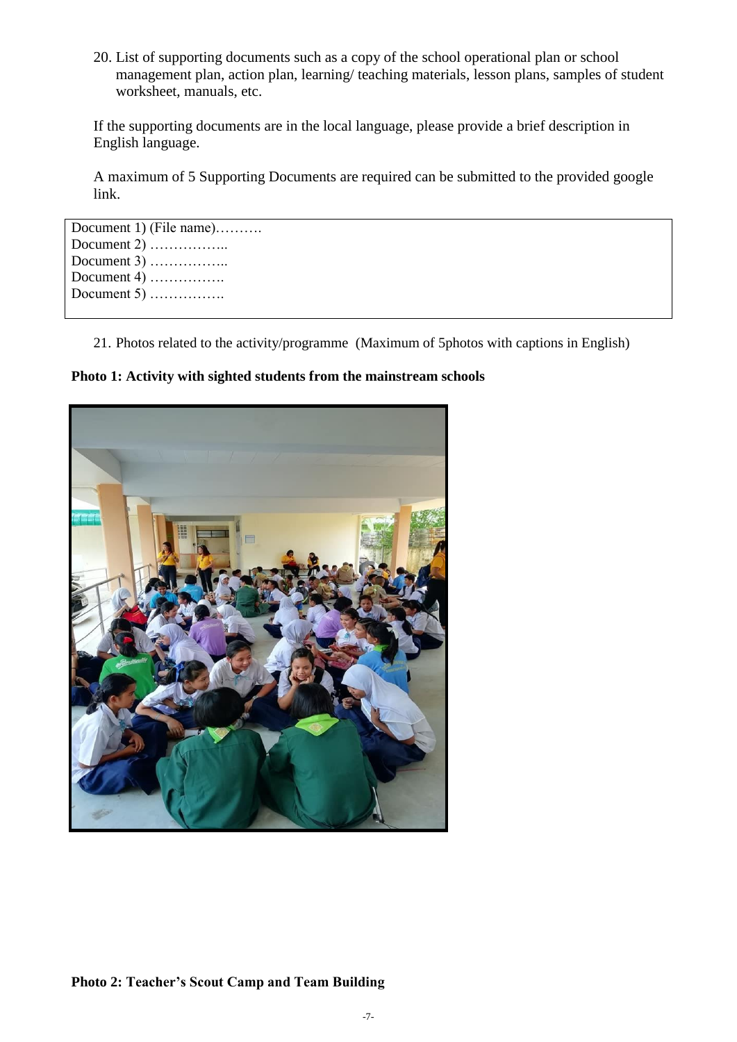20. List of supporting documents such as a copy of the school operational plan or school management plan, action plan, learning/ teaching materials, lesson plans, samples of student worksheet, manuals, etc.

If the supporting documents are in the local language, please provide a brief description in English language.

A maximum of 5 Supporting Documents are required can be submitted to the provided google link.

```
Document 1) (File name)………. 
Document 2) ……………..
Document 3) …………….. 
Document 4) …………….
Document 5) ………………
```
21. Photos related to the activity/programme (Maximum of 5photos with captions in English)

**Photo 1: Activity with sighted students from the mainstream schools**



**Photo 2: Teacher's Scout Camp and Team Building**